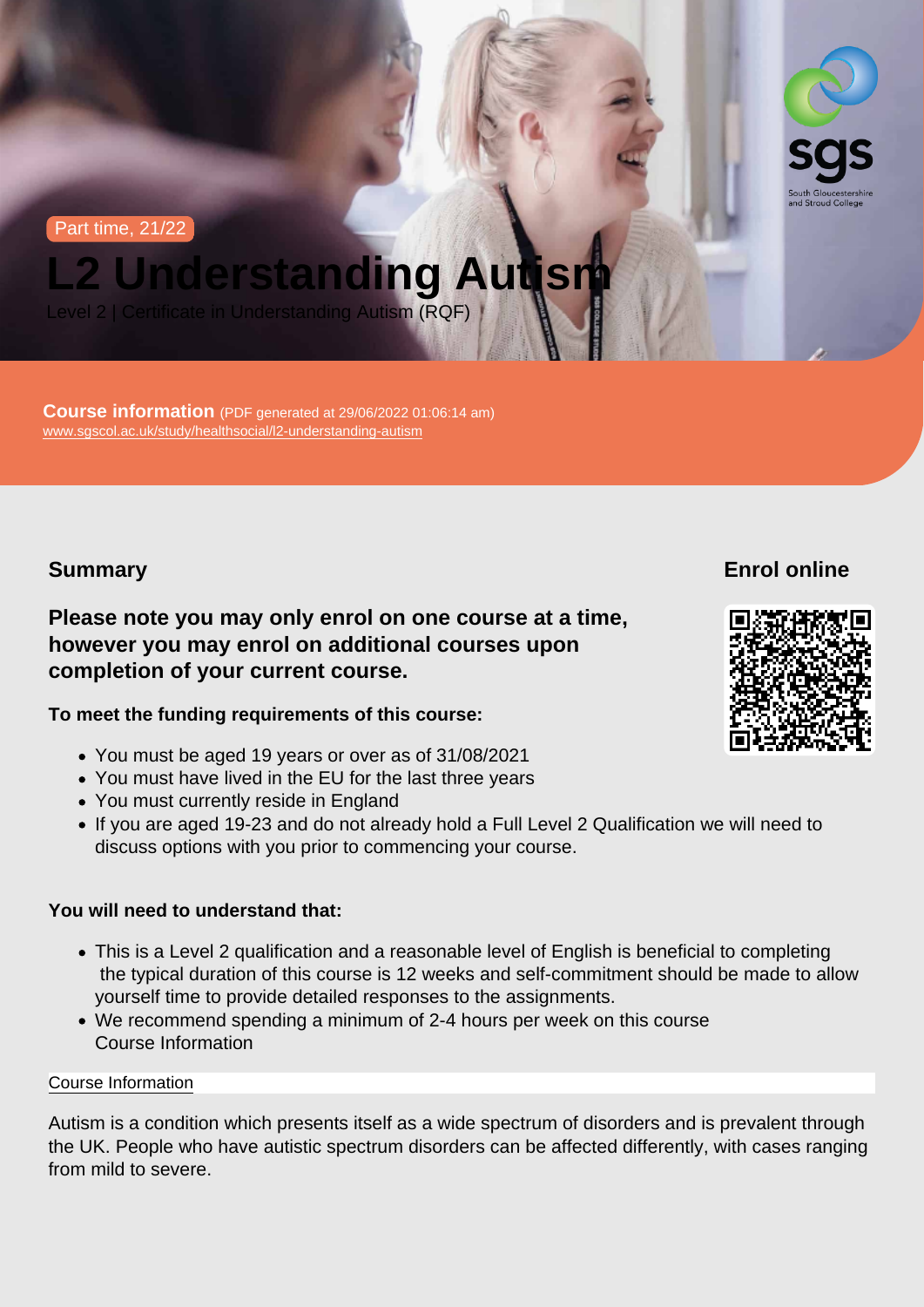Part time, 21/22

# L2 Understanding Autism

Level 2 | Certificate in Understanding Autism (RQF)

Course information (PDF generated at 29/06/2022 01:06:14 am) [www.sgscol.ac.uk/study/healthsocial/l2-understanding-autism](https://www.sgscol.ac.uk/study/healthsocial/l2-understanding-autism)

Summary

Enrol online

Please note you may only enrol on one course at a time, however you may enrol on additional courses upon completion of your current course.

To meet the funding requirements of this course:

- You must be aged 19 years or over as of 31/08/2021
- You must have lived in the EU for the last three years
- You must currently reside in England
- If you are aged 19-23 and do not already hold a Full Level 2 Qualification we will need to discuss options with you prior to commencing your course.

You will need to understand that:

- This is a Level 2 qualification and a reasonable level of English is beneficial to completing the typical duration of this course is 12 weeks and self-commitment should be made to allow yourself time to provide detailed responses to the assignments.
- We recommend spending a minimum of 2-4 hours per week on this course Course Information

#### Course Information

Autism is a condition which presents itself as a wide spectrum of disorders and is prevalent through the UK. People who have autistic spectrum disorders can be affected differently, with cases ranging from mild to severe.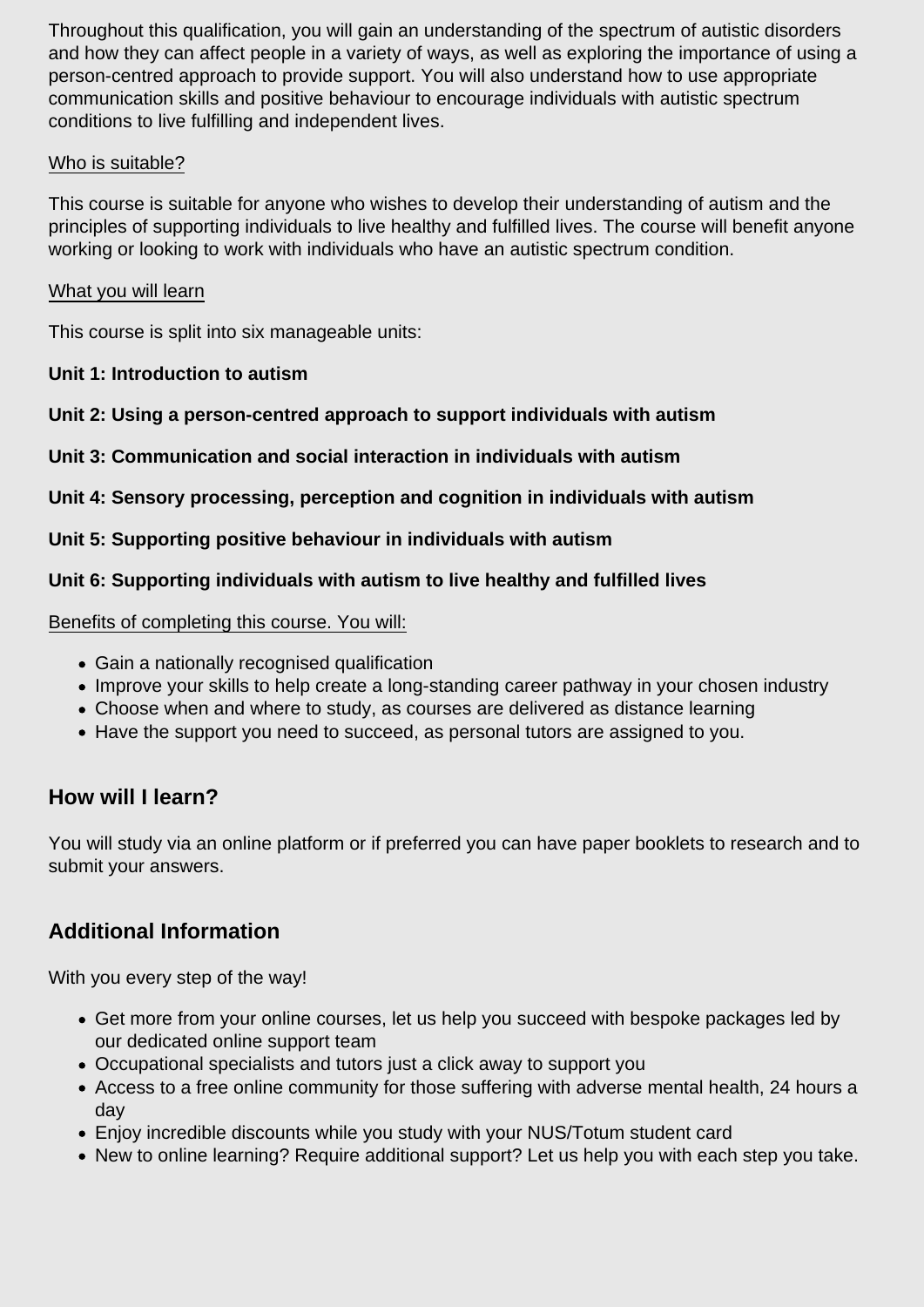Throughout this qualification, you will gain an understanding of the spectrum of autistic disorders and how they can affect people in a variety of ways, as well as exploring the importance of using a person-centred approach to provide support. You will also understand how to use appropriate communication skills and positive behaviour to encourage individuals with autistic spectrum conditions to live fulfilling and independent lives.

#### Who is suitable?

This course is suitable for anyone who wishes to develop their understanding of autism and the principles of supporting individuals to live healthy and fulfilled lives. The course will benefit anyone working or looking to work with individuals who have an autistic spectrum condition.

#### What you will learn

This course is split into six manageable units:

### **Unit 1: Introduction to autism**

**Unit 2: Using a person-centred approach to support individuals with autism**

### **Unit 3: Communication and social interaction in individuals with autism**

**Unit 4: Sensory processing, perception and cognition in individuals with autism**

#### **Unit 5: Supporting positive behaviour in individuals with autism**

### **Unit 6: Supporting individuals with autism to live healthy and fulfilled lives**

Benefits of completing this course. You will:

- Gain a nationally recognised qualification
- Improve your skills to help create a long-standing career pathway in your chosen industry
- Choose when and where to study, as courses are delivered as distance learning
- Have the support you need to succeed, as personal tutors are assigned to you.

## **How will I learn?**

You will study via an online platform or if preferred you can have paper booklets to research and to submit your answers.

## **Additional Information**

With you every step of the way!

- Get more from your online courses, let us help you succeed with bespoke packages led by our dedicated online support team
- Occupational specialists and tutors just a click away to support you
- Access to a free online community for those suffering with adverse mental health, 24 hours a day
- Enjoy incredible discounts while you study with your NUS/Totum student card
- New to online learning? Require additional support? Let us help you with each step you take.